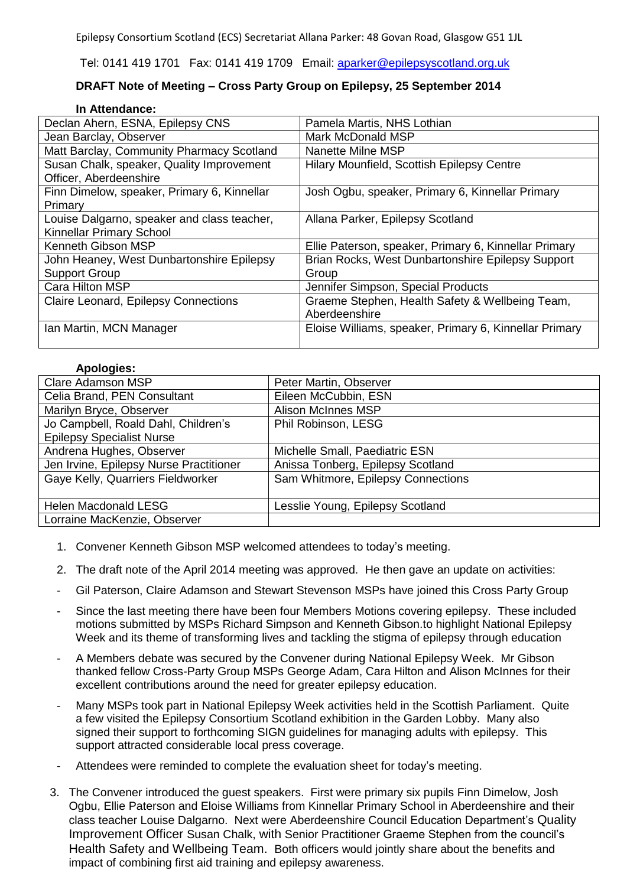Tel: 0141 419 1701 Fax: 0141 419 1709 Email: [aparker@epilepsyscotland.org.uk](mailto:aparker@epilepsyscotland.org.uk)

## **DRAFT Note of Meeting – Cross Party Group on Epilepsy, 25 September 2014**

## **In Attendance:**

| Declan Ahern, ESNA, Epilepsy CNS            | Pamela Martis, NHS Lothian                             |
|---------------------------------------------|--------------------------------------------------------|
| Jean Barclay, Observer                      | Mark McDonald MSP                                      |
| Matt Barclay, Community Pharmacy Scotland   | Nanette Milne MSP                                      |
| Susan Chalk, speaker, Quality Improvement   | Hilary Mounfield, Scottish Epilepsy Centre             |
| Officer, Aberdeenshire                      |                                                        |
| Finn Dimelow, speaker, Primary 6, Kinnellar | Josh Ogbu, speaker, Primary 6, Kinnellar Primary       |
| Primary                                     |                                                        |
| Louise Dalgarno, speaker and class teacher, | Allana Parker, Epilepsy Scotland                       |
| Kinnellar Primary School                    |                                                        |
| Kenneth Gibson MSP                          | Ellie Paterson, speaker, Primary 6, Kinnellar Primary  |
| John Heaney, West Dunbartonshire Epilepsy   | Brian Rocks, West Dunbartonshire Epilepsy Support      |
| <b>Support Group</b>                        | Group                                                  |
| Cara Hilton MSP                             | Jennifer Simpson, Special Products                     |
| Claire Leonard, Epilepsy Connections        | Graeme Stephen, Health Safety & Wellbeing Team,        |
|                                             | Aberdeenshire                                          |
| Ian Martin, MCN Manager                     | Eloise Williams, speaker, Primary 6, Kinnellar Primary |
|                                             |                                                        |

## **Apologies:**

| <b>Clare Adamson MSP</b>                | Peter Martin, Observer             |
|-----------------------------------------|------------------------------------|
| Celia Brand, PEN Consultant             | Eileen McCubbin, ESN               |
| Marilyn Bryce, Observer                 | <b>Alison McInnes MSP</b>          |
| Jo Campbell, Roald Dahl, Children's     | Phil Robinson, LESG                |
| <b>Epilepsy Specialist Nurse</b>        |                                    |
| Andrena Hughes, Observer                | Michelle Small, Paediatric ESN     |
| Jen Irvine, Epilepsy Nurse Practitioner | Anissa Tonberg, Epilepsy Scotland  |
| Gaye Kelly, Quarriers Fieldworker       | Sam Whitmore, Epilepsy Connections |
|                                         |                                    |
| <b>Helen Macdonald LESG</b>             | Lesslie Young, Epilepsy Scotland   |
| Lorraine MacKenzie, Observer            |                                    |

- 1. Convener Kenneth Gibson MSP welcomed attendees to today's meeting.
- 2. The draft note of the April 2014 meeting was approved. He then gave an update on activities:
- Gil Paterson, Claire Adamson and Stewart Stevenson MSPs have joined this Cross Party Group
- Since the last meeting there have been four Members Motions covering epilepsy. These included motions submitted by MSPs Richard Simpson and Kenneth Gibson.to highlight National Epilepsy Week and its theme of transforming lives and tackling the stigma of epilepsy through education
- A Members debate was secured by the Convener during National Epilepsy Week. Mr Gibson thanked fellow Cross-Party Group MSPs George Adam, Cara Hilton and Alison McInnes for their excellent contributions around the need for greater epilepsy education.
- Many MSPs took part in National Epilepsy Week activities held in the Scottish Parliament. Quite a few visited the Epilepsy Consortium Scotland exhibition in the Garden Lobby. Many also signed their support to forthcoming SIGN guidelines for managing adults with epilepsy. This support attracted considerable local press coverage.
- Attendees were reminded to complete the evaluation sheet for today's meeting.
- 3. The Convener introduced the guest speakers. First were primary six pupils Finn Dimelow, Josh Ogbu, Ellie Paterson and Eloise Williams from Kinnellar Primary School in Aberdeenshire and their class teacher Louise Dalgarno. Next were Aberdeenshire Council Education Department's Quality Improvement Officer Susan Chalk, with Senior Practitioner Graeme Stephen from the council's Health Safety and Wellbeing Team. Both officers would jointly share about the benefits and impact of combining first aid training and epilepsy awareness.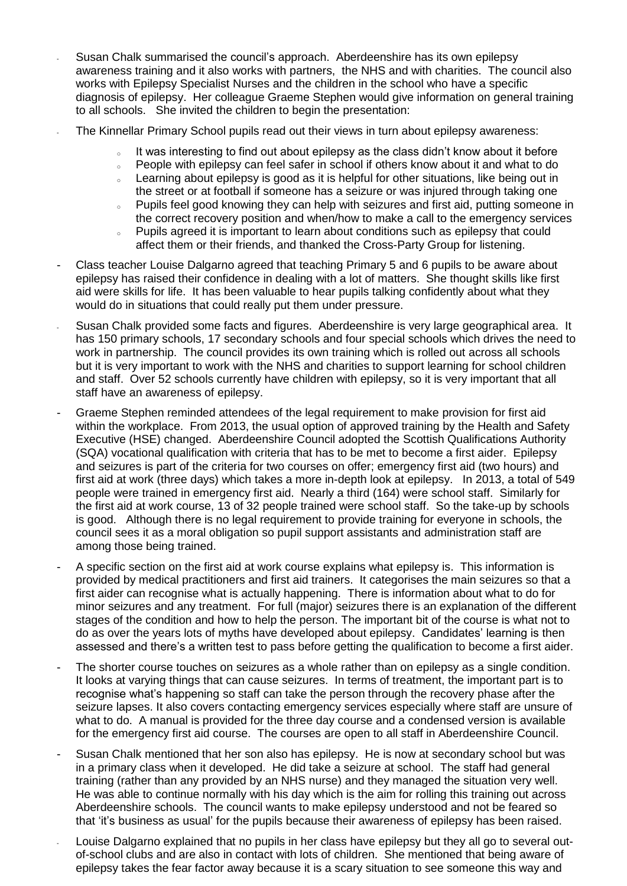- Susan Chalk summarised the council's approach. Aberdeenshire has its own epilepsy awareness training and it also works with partners, the NHS and with charities. The council also works with Epilepsy Specialist Nurses and the children in the school who have a specific diagnosis of epilepsy. Her colleague Graeme Stephen would give information on general training to all schools. She invited the children to begin the presentation:
- The Kinnellar Primary School pupils read out their views in turn about epilepsy awareness:
	- It was interesting to find out about epilepsy as the class didn't know about it before
	- $\degree$  People with epilepsy can feel safer in school if others know about it and what to do
	- . Learning about epilepsy is good as it is helpful for other situations, like being out in the street or at football if someone has a seizure or was injured through taking one
	- o Pupils feel good knowing they can help with seizures and first aid, putting someone in the correct recovery position and when/how to make a call to the emergency services
	- o Pupils agreed it is important to learn about conditions such as epilepsy that could affect them or their friends, and thanked the Cross-Party Group for listening.
- Class teacher Louise Dalgarno agreed that teaching Primary 5 and 6 pupils to be aware about epilepsy has raised their confidence in dealing with a lot of matters. She thought skills like first aid were skills for life. It has been valuable to hear pupils talking confidently about what they would do in situations that could really put them under pressure.
- Susan Chalk provided some facts and figures. Aberdeenshire is very large geographical area. It has 150 primary schools, 17 secondary schools and four special schools which drives the need to work in partnership. The council provides its own training which is rolled out across all schools but it is very important to work with the NHS and charities to support learning for school children and staff. Over 52 schools currently have children with epilepsy, so it is very important that all staff have an awareness of epilepsy.
- Graeme Stephen reminded attendees of the legal requirement to make provision for first aid within the workplace. From 2013, the usual option of approved training by the Health and Safety Executive (HSE) changed. Aberdeenshire Council adopted the Scottish Qualifications Authority (SQA) vocational qualification with criteria that has to be met to become a first aider. Epilepsy and seizures is part of the criteria for two courses on offer; emergency first aid (two hours) and first aid at work (three days) which takes a more in-depth look at epilepsy. In 2013, a total of 549 people were trained in emergency first aid. Nearly a third (164) were school staff. Similarly for the first aid at work course, 13 of 32 people trained were school staff. So the take-up by schools is good. Although there is no legal requirement to provide training for everyone in schools, the council sees it as a moral obligation so pupil support assistants and administration staff are among those being trained.
- A specific section on the first aid at work course explains what epilepsy is. This information is provided by medical practitioners and first aid trainers. It categorises the main seizures so that a first aider can recognise what is actually happening. There is information about what to do for minor seizures and any treatment. For full (major) seizures there is an explanation of the different stages of the condition and how to help the person. The important bit of the course is what not to do as over the years lots of myths have developed about epilepsy. Candidates' learning is then assessed and there's a written test to pass before getting the qualification to become a first aider.
- The shorter course touches on seizures as a whole rather than on epilepsy as a single condition. It looks at varying things that can cause seizures. In terms of treatment, the important part is to recognise what's happening so staff can take the person through the recovery phase after the seizure lapses. It also covers contacting emergency services especially where staff are unsure of what to do. A manual is provided for the three day course and a condensed version is available for the emergency first aid course. The courses are open to all staff in Aberdeenshire Council.
- Susan Chalk mentioned that her son also has epilepsy. He is now at secondary school but was in a primary class when it developed. He did take a seizure at school. The staff had general training (rather than any provided by an NHS nurse) and they managed the situation very well. He was able to continue normally with his day which is the aim for rolling this training out across Aberdeenshire schools. The council wants to make epilepsy understood and not be feared so that 'it's business as usual' for the pupils because their awareness of epilepsy has been raised.
- Louise Dalgarno explained that no pupils in her class have epilepsy but they all go to several outof-school clubs and are also in contact with lots of children. She mentioned that being aware of epilepsy takes the fear factor away because it is a scary situation to see someone this way and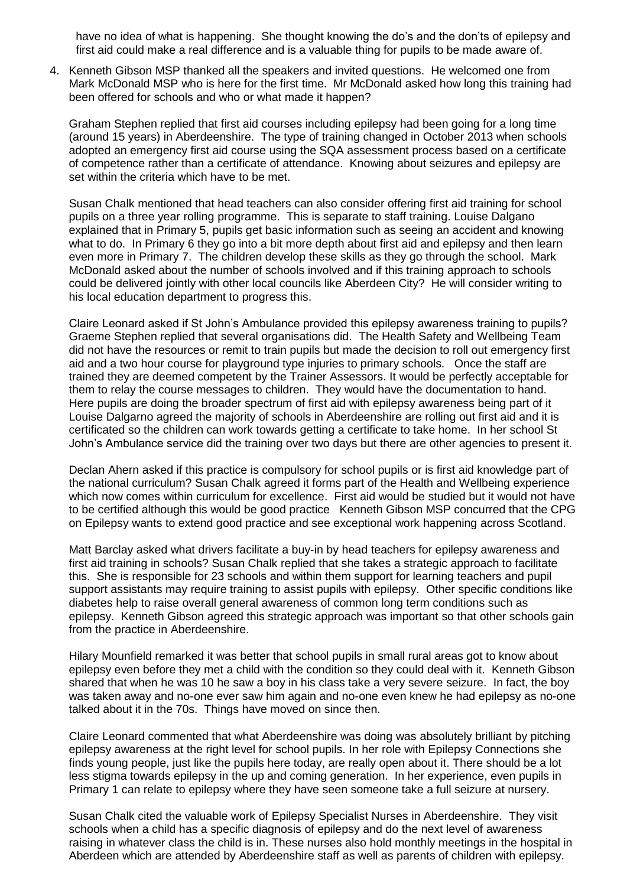have no idea of what is happening. She thought knowing the do's and the don'ts of epilepsy and first aid could make a real difference and is a valuable thing for pupils to be made aware of.

4. Kenneth Gibson MSP thanked all the speakers and invited questions. He welcomed one from Mark McDonald MSP who is here for the first time. Mr McDonald asked how long this training had been offered for schools and who or what made it happen?

Graham Stephen replied that first aid courses including epilepsy had been going for a long time (around 15 years) in Aberdeenshire. The type of training changed in October 2013 when schools adopted an emergency first aid course using the SQA assessment process based on a certificate of competence rather than a certificate of attendance. Knowing about seizures and epilepsy are set within the criteria which have to be met.

Susan Chalk mentioned that head teachers can also consider offering first aid training for school pupils on a three year rolling programme. This is separate to staff training. Louise Dalgano explained that in Primary 5, pupils get basic information such as seeing an accident and knowing what to do. In Primary 6 they go into a bit more depth about first aid and epilepsy and then learn even more in Primary 7. The children develop these skills as they go through the school. Mark McDonald asked about the number of schools involved and if this training approach to schools could be delivered jointly with other local councils like Aberdeen City? He will consider writing to his local education department to progress this.

Claire Leonard asked if St John's Ambulance provided this epilepsy awareness training to pupils? Graeme Stephen replied that several organisations did. The Health Safety and Wellbeing Team did not have the resources or remit to train pupils but made the decision to roll out emergency first aid and a two hour course for playground type injuries to primary schools. Once the staff are trained they are deemed competent by the Trainer Assessors. It would be perfectly acceptable for them to relay the course messages to children. They would have the documentation to hand. Here pupils are doing the broader spectrum of first aid with epilepsy awareness being part of it Louise Dalgarno agreed the majority of schools in Aberdeenshire are rolling out first aid and it is certificated so the children can work towards getting a certificate to take home. In her school St John's Ambulance service did the training over two days but there are other agencies to present it.

Declan Ahern asked if this practice is compulsory for school pupils or is first aid knowledge part of the national curriculum? Susan Chalk agreed it forms part of the Health and Wellbeing experience which now comes within curriculum for excellence. First aid would be studied but it would not have to be certified although this would be good practice Kenneth Gibson MSP concurred that the CPG on Epilepsy wants to extend good practice and see exceptional work happening across Scotland.

Matt Barclay asked what drivers facilitate a buy-in by head teachers for epilepsy awareness and first aid training in schools? Susan Chalk replied that she takes a strategic approach to facilitate this. She is responsible for 23 schools and within them support for learning teachers and pupil support assistants may require training to assist pupils with epilepsy. Other specific conditions like diabetes help to raise overall general awareness of common long term conditions such as epilepsy. Kenneth Gibson agreed this strategic approach was important so that other schools gain from the practice in Aberdeenshire.

Hilary Mounfield remarked it was better that school pupils in small rural areas got to know about epilepsy even before they met a child with the condition so they could deal with it. Kenneth Gibson shared that when he was 10 he saw a boy in his class take a very severe seizure. In fact, the boy was taken away and no-one ever saw him again and no-one even knew he had epilepsy as no-one talked about it in the 70s. Things have moved on since then.

Claire Leonard commented that what Aberdeenshire was doing was absolutely brilliant by pitching epilepsy awareness at the right level for school pupils. In her role with Epilepsy Connections she finds young people, just like the pupils here today, are really open about it. There should be a lot less stigma towards epilepsy in the up and coming generation. In her experience, even pupils in Primary 1 can relate to epilepsy where they have seen someone take a full seizure at nursery.

Susan Chalk cited the valuable work of Epilepsy Specialist Nurses in Aberdeenshire. They visit schools when a child has a specific diagnosis of epilepsy and do the next level of awareness raising in whatever class the child is in. These nurses also hold monthly meetings in the hospital in Aberdeen which are attended by Aberdeenshire staff as well as parents of children with epilepsy.